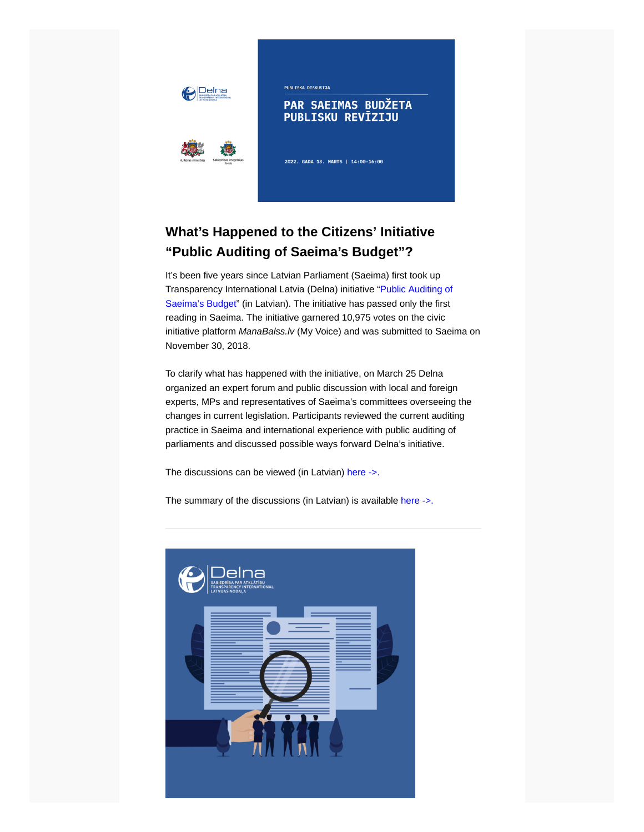



**PUBLISKA DISKUSIJA** 

#### PAR SAEIMAS BUDŽETA **PUBLISKU REVĪZIJU**

2022. GADA 18. MARTS | 14:00-16:00

# **What's Happened to the Citizens' Initiative "Public Auditing of Saeima's Budget"?**

It's been five years since Latvian Parliament (Saeima) first took up [Transparency International Latvia \(Delna\) initiative "Public Auditing of](https://manabalss.lv/publisku-reviziju-saeimas-budzetam/show) Saeima's Budget" (in Latvian). The initiative has passed only the first reading in Saeima. The initiative garnered 10,975 votes on the civic initiative platform *ManaBalss.lv* (My Voice) and was submitted to Saeima on November 30, 2018.

To clarify what has happened with the initiative, on March 25 Delna organized an expert forum and public discussion with local and foreign experts, MPs and representatives of Saeima's committees overseeing the changes in current legislation. Participants reviewed the current auditing practice in Saeima and international experience with public auditing of parliaments and discussed possible ways forward Delna's initiative.

The discussions can be viewed (in Latvian) [here ->.](https://www.facebook.com/BiedribaDelna/videos/394611175364217) 

The summary of the discussions (in Latvian) is available [here ->.](https://delna.lv/lv/2022/04/04/kopsavilkums-par-publisku-reviziju-saeimas-budzetam/)

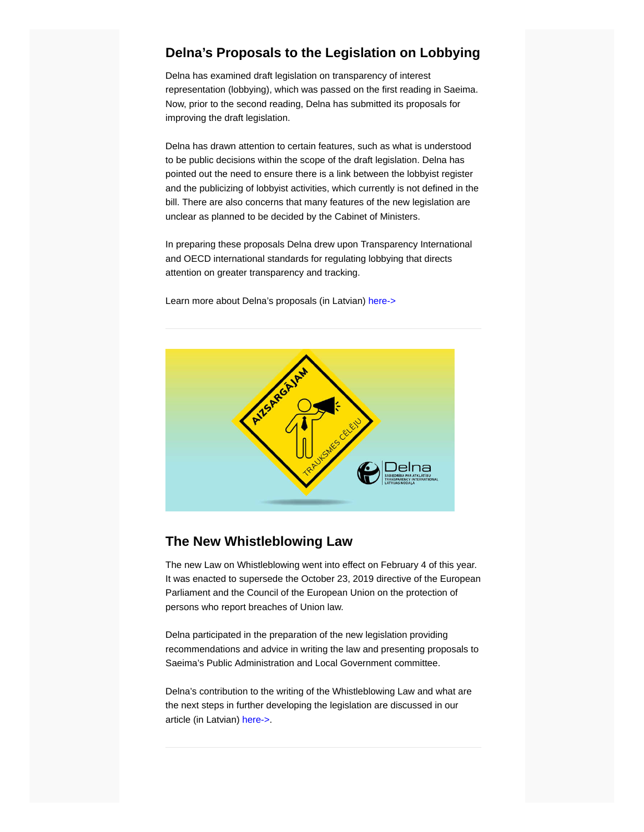#### **Delna's Proposals to the Legislation on Lobbying**

Delna has examined draft legislation on transparency of interest representation (lobbying), which was passed on the first reading in Saeima. Now, prior to the second reading, Delna has submitted its proposals for improving the draft legislation.

Delna has drawn attention to certain features, such as what is understood to be public decisions within the scope of the draft legislation. Delna has pointed out the need to ensure there is a link between the lobbyist register and the publicizing of lobbyist activities, which currently is not defined in the bill. There are also concerns that many features of the new legislation are unclear as planned to be decided by the Cabinet of Ministers.

In preparing these proposals Delna drew upon Transparency International and OECD international standards for regulating lobbying that directs attention on greater transparency and tracking.

Learn more about Delna's proposals (in Latvian) [here->](https://delna.lv/lv/2022/03/21/delna-sniedz-priekslikumus-toposajam-interesu-parstavibas-likumam-2-lasijums/?fbclid=IwAR3t-q2FUlq_dUnpqgldhgzgh1dzdY1jEtktu3FDyFuQIhehxnESEg4SEfk)



#### **The New Whistleblowing Law**

The new Law on Whistleblowing went into effect on February 4 of this year. It was enacted to supersede the October 23, 2019 directive of the European Parliament and the Council of the European Union on the protection of persons who report breaches of Union law.

Delna participated in the preparation of the new legislation providing recommendations and advice in writing the law and presenting proposals to Saeima's Public Administration and Local Government committee.

Delna's contribution to the writing of the Whistleblowing Law and what are the next steps in further developing the legislation are discussed in our article (in Latvian) [here->](https://delna.lv/lv/2022/03/29/delna-par-jauno-trauksmes-celsanas-likumu/).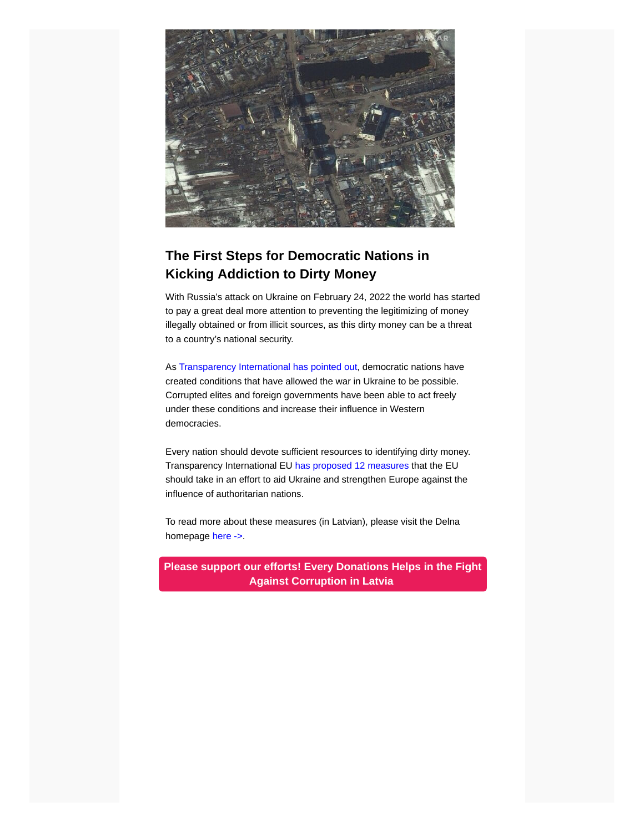

# **The First Steps for Democratic Nations in Kicking Addiction to Dirty Money**

With Russia's attack on Ukraine on February 24, 2022 the world has started to pay a great deal more attention to preventing the legitimizing of money illegally obtained or from illicit sources, as this dirty money can be a threat to a country's national security.

As [Transparency International has pointed out,](https://www.transparency.org/en/press/transparency-international-responds-to-the-attack-against-ukraine) democratic nations have created conditions that have allowed the war in Ukraine to be possible. Corrupted elites and foreign governments have been able to act freely under these conditions and increase their influence in Western democracies.

Every nation should devote sufficient resources to identifying dirty money. Transparency International EU [has proposed 12 measures](http://transparency.eu/ukraine/) that the EU should take in an effort to aid Ukraine and strengthen Europe against the influence of authoritarian nations.

To read more about these measures (in Latvian), please visit the Delna homepage [here ->.](https://delna.lv/lv/2022/03/11/demokratisko-valstu-pirmie-soli-lai-arstetu-atkaribu-no-netiras-naudas/)

**[Please support our efforts! Every Donations Helps in the Fight](https://delna.lv/en/donate/) Against Corruption in Latvia**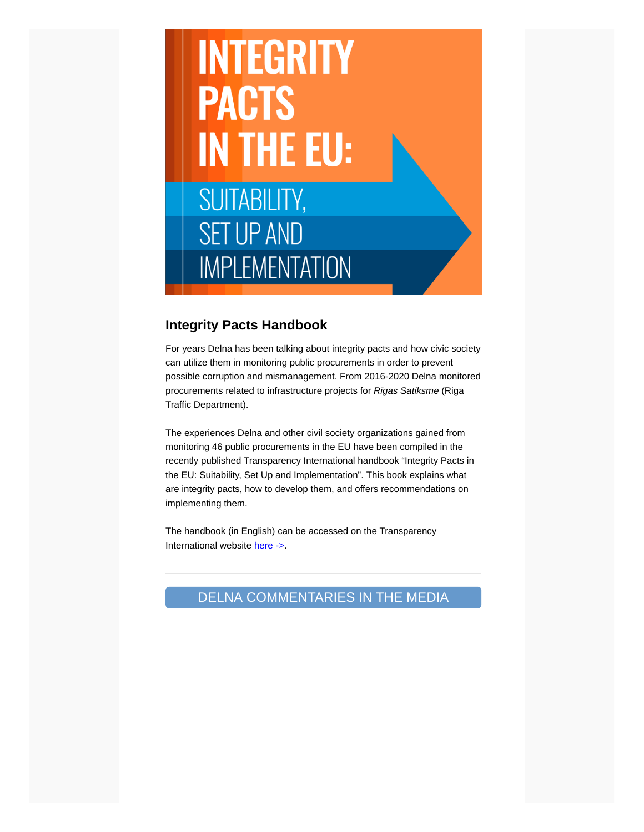# **INTEGRITY PACTS IN THE EU: SUITABILITY, SET UP AND IMPLEMENTATION**

#### **Integrity Pacts Handbook**

For years Delna has been talking about integrity pacts and how civic society can utilize them in monitoring public procurements in order to prevent possible corruption and mismanagement. From 2016-2020 Delna monitored procurements related to infrastructure projects for *Rīgas Satiksme* (Riga Traffic Department).

The experiences Delna and other civil society organizations gained from monitoring 46 public procurements in the EU have been compiled in the recently published Transparency International handbook "Integrity Pacts in the EU: Suitability, Set Up and Implementation". This book explains what are integrity pacts, how to develop them, and offers recommendations on implementing them.

The handbook (in English) can be accessed on the Transparency International website [here ->](https://www.transparency.org/en/publications/integrity-pacts-european-union-guidebook?fbclid=IwAR0HP6RFPlW-BXRJjyUkeuXIOVf7D9sFBUyoO2gNq8MWL-_lVcHQfztJ-94).

# DELNA COMMENTARIES IN THE MEDIA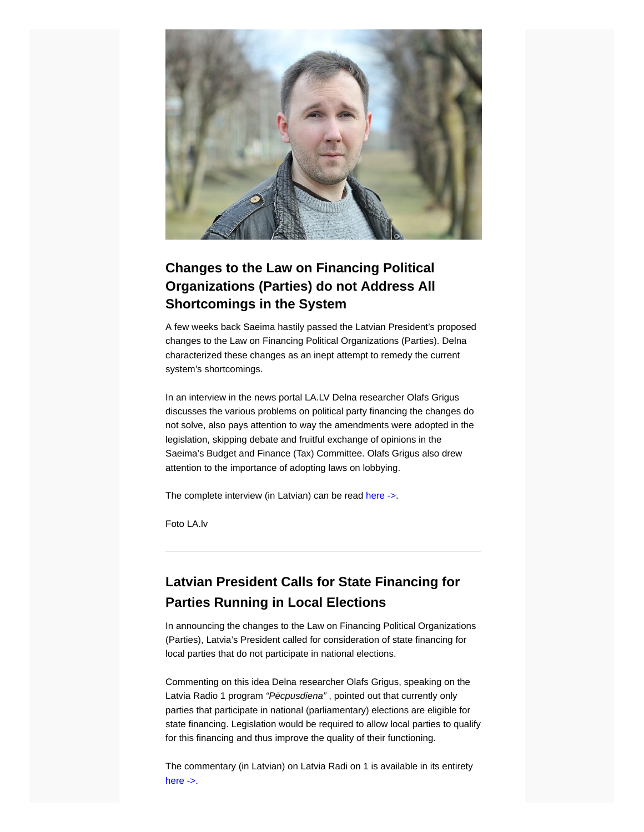

# **Changes to the Law on Financing Political Organizations (Parties) do not Address All Shortcomings in the System**

A few weeks back Saeima hastily passed the Latvian President's proposed changes to the Law on Financing Political Organizations (Parties). Delna characterized these changes as an inept attempt to remedy the current system's shortcomings.

In an interview in the news portal LA.LV Delna researcher Olafs Grigus discusses the various problems on political party financing the changes do not solve, also pays attention to way the amendments were adopted in the legislation, skipping debate and fruitful exchange of opinions in the Saeima's Budget and Finance (Tax) Committee. Olafs Grigus also drew attention to the importance of adopting laws on lobbying.

The complete interview (in Latvian) can be read [here ->.](https://www.la.lv/redzams-ka-lemumi-pienemti-kaut-kur-citur?fbclid=IwAR1Q6G9u4r0OQjTfmTfU-Z-EK_LFPyfiyZezLyH8CO-ur0LK5m9zYb8t1dk)

Foto LA.lv

# **Latvian President Calls for State Financing for Parties Running in Local Elections**

In announcing the changes to the Law on Financing Political Organizations (Parties), Latvia's President called for consideration of state financing for local parties that do not participate in national elections.

Commenting on this idea Delna researcher Olafs Grigus, speaking on the Latvia Radio 1 program *"Pēcpusdiena"* , pointed out that currently only parties that participate in national (parliamentary) elections are eligible for state financing. Legislation would be required to allow local parties to qualify for this financing and thus improve the quality of their functioning.

The commentary (in Latvian) on Latvia Radi on 1 is available in its entirety [here ->.](https://lr1.lsm.lv/lv/raksts/pecpusdiena/levits-iesaka-paredzet-valsts-finansejumu-ari-pasvaldibu-velesan.a157574/)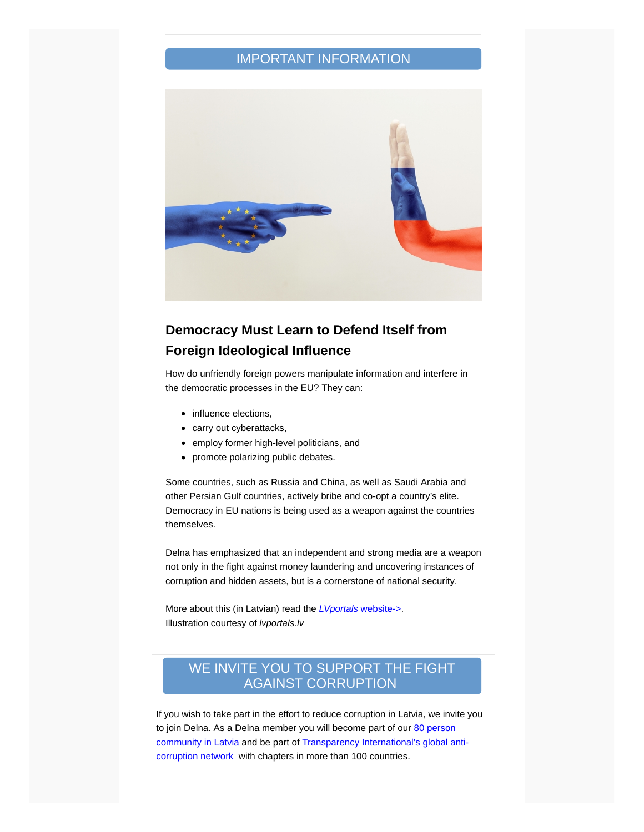#### IMPORTANT INFORMATION



# **Democracy Must Learn to Defend Itself from Foreign Ideological Influence**

How do unfriendly foreign powers manipulate information and interfere in the democratic processes in the EU? They can:

- influence elections,
- carry out cyberattacks,
- employ former high-level politicians, and
- promote polarizing public debates.

Some countries, such as Russia and China, as well as Saudi Arabia and other Persian Gulf countries, actively bribe and co-opt a country's elite. Democracy in EU nations is being used as a weapon against the countries themselves.

Delna has emphasized that an independent and strong media are a weapon not only in the fight against money laundering and uncovering instances of corruption and hidden assets, but is a cornerstone of national security.

More about this (in Latvian) read the *[LVportals](https://lvportals.lv/norises/338974-demokratijai-jamacas-sevi-aizstavet-pret-arvalstu-ideologisko-ietekmi-2022?fbclid=IwAR2HohaPz3OuqmzBTlwimX2TuzXkoWD8yvSYtgmZ9ZhDgjpm0kwBzRt96VQ)* website->. Illustration courtesy of *lvportals.lv*

#### [WE INVITE YOU TO SUPPORT THE FIGHT](http://https//delna.lv/en/donate/) AGAINST CORRUPTION

If you wish to take part in the effort to reduce corruption in Latvia, we invite you to join Delna. As a Delna member you will become part of our 80 person [community in Latvia and be part of Transparency International's global a](https://list.mailigen.com/track/click?u=e12d7354fb9ff3075fe8b08c2c0b6f49&id=d098b327cd43db83&e=00000000)[nti](https://list.mailigen.com/track/click?u=e12d7354fb9ff3075fe8b08c2c0b6f49&id=678572237a5e1a87&e=00000000)corruption network with chapters in more than 100 countries.